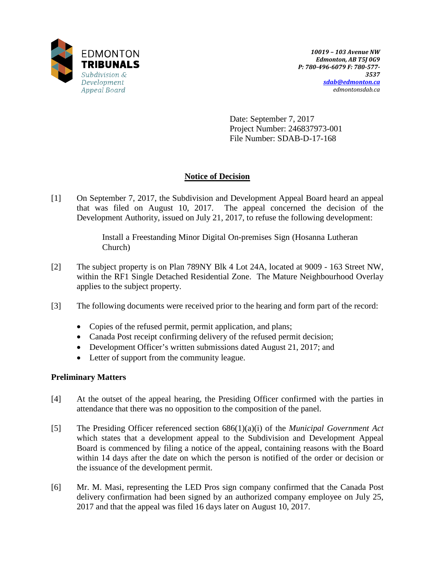

Date: September 7, 2017 Project Number: 246837973-001 File Number: SDAB-D-17-168

# **Notice of Decision**

[1] On September 7, 2017, the Subdivision and Development Appeal Board heard an appeal that was filed on August 10, 2017. The appeal concerned the decision of the Development Authority, issued on July 21, 2017, to refuse the following development:

> Install a Freestanding Minor Digital On-premises Sign (Hosanna Lutheran Church)

- [2] The subject property is on Plan 789NY Blk 4 Lot 24A, located at 9009 163 Street NW, within the RF1 Single Detached Residential Zone. The Mature Neighbourhood Overlay applies to the subject property.
- [3] The following documents were received prior to the hearing and form part of the record:
	- Copies of the refused permit, permit application, and plans;
	- Canada Post receipt confirming delivery of the refused permit decision;
	- Development Officer's written submissions dated August 21, 2017; and
	- Letter of support from the community league.

# **Preliminary Matters**

- [4] At the outset of the appeal hearing, the Presiding Officer confirmed with the parties in attendance that there was no opposition to the composition of the panel.
- [5] The Presiding Officer referenced section 686(1)(a)(i) of the *Municipal Government Act* which states that a development appeal to the Subdivision and Development Appeal Board is commenced by filing a notice of the appeal, containing reasons with the Board within 14 days after the date on which the person is notified of the order or decision or the issuance of the development permit.
- [6] Mr. M. Masi, representing the LED Pros sign company confirmed that the Canada Post delivery confirmation had been signed by an authorized company employee on July 25, 2017 and that the appeal was filed 16 days later on August 10, 2017.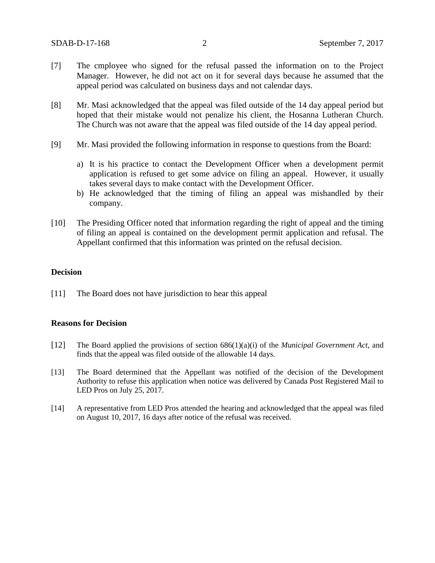- [7] The cmployee who signed for the refusal passed the information on to the Project Manager. However, he did not act on it for several days because he assumed that the appeal period was calculated on business days and not calendar days.
- [8] Mr. Masi acknowledged that the appeal was filed outside of the 14 day appeal period but hoped that their mistake would not penalize his client, the Hosanna Lutheran Church. The Church was not aware that the appeal was filed outside of the 14 day appeal period.
- [9] Mr. Masi provided the following information in response to questions from the Board:
	- a) It is his practice to contact the Development Officer when a development permit application is refused to get some advice on filing an appeal. However, it usually takes several days to make contact with the Development Officer.
	- b) He acknowledged that the timing of filing an appeal was mishandled by their company.
- [10] The Presiding Officer noted that information regarding the right of appeal and the timing of filing an appeal is contained on the development permit application and refusal. The Appellant confirmed that this information was printed on the refusal decision.

### **Decision**

[11] The Board does not have jurisdiction to hear this appeal

### **Reasons for Decision**

- [12] The Board applied the provisions of section 686(1)(a)(i) of the *Municipal Government Act*, and finds that the appeal was filed outside of the allowable 14 days.
- [13] The Board determined that the Appellant was notified of the decision of the Development Authority to refuse this application when notice was delivered by Canada Post Registered Mail to LED Pros on July 25, 2017.
- [14] A representative from LED Pros attended the hearing and acknowledged that the appeal was filed on August 10, 2017, 16 days after notice of the refusal was received.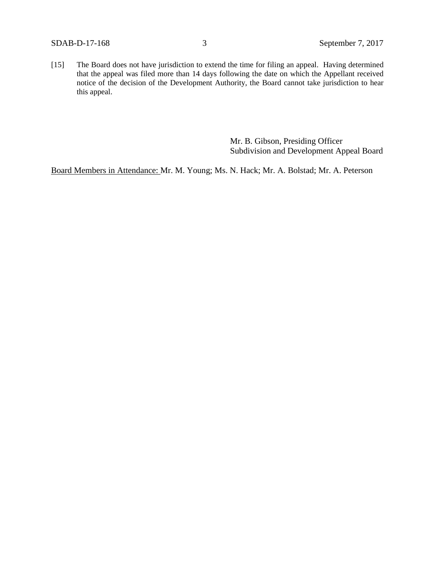[15] The Board does not have jurisdiction to extend the time for filing an appeal. Having determined that the appeal was filed more than 14 days following the date on which the Appellant received notice of the decision of the Development Authority, the Board cannot take jurisdiction to hear this appeal.

> Mr. B. Gibson, Presiding Officer Subdivision and Development Appeal Board

Board Members in Attendance: Mr. M. Young; Ms. N. Hack; Mr. A. Bolstad; Mr. A. Peterson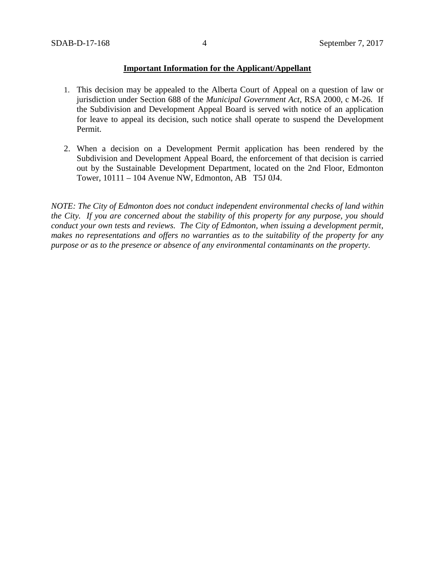### **Important Information for the Applicant/Appellant**

- 1. This decision may be appealed to the Alberta Court of Appeal on a question of law or jurisdiction under Section 688 of the *Municipal Government Act*, RSA 2000, c M-26. If the Subdivision and Development Appeal Board is served with notice of an application for leave to appeal its decision, such notice shall operate to suspend the Development Permit.
- 2. When a decision on a Development Permit application has been rendered by the Subdivision and Development Appeal Board, the enforcement of that decision is carried out by the Sustainable Development Department, located on the 2nd Floor, Edmonton Tower, 10111 – 104 Avenue NW, Edmonton, AB T5J 0J4.

*NOTE: The City of Edmonton does not conduct independent environmental checks of land within the City. If you are concerned about the stability of this property for any purpose, you should conduct your own tests and reviews. The City of Edmonton, when issuing a development permit, makes no representations and offers no warranties as to the suitability of the property for any purpose or as to the presence or absence of any environmental contaminants on the property.*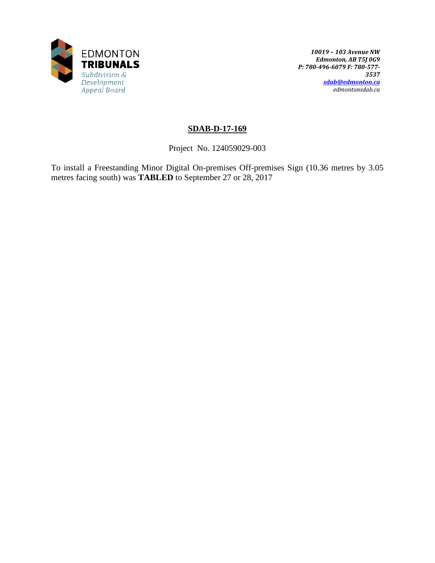

*10019 – 103 Avenue NW Edmonton, AB T5J 0G9 P: 780-496-6079 F: 780-577- 3537 [sdab@edmonton.ca](mailto:sdab@edmonton.ca) edmontonsdab.ca*

# **SDAB-D-17-169**

Project No. 124059029-003

To install a Freestanding Minor Digital On-premises Off-premises Sign (10.36 metres by 3.05 metres facing south) was **TABLED** to September 27 or 28, 2017